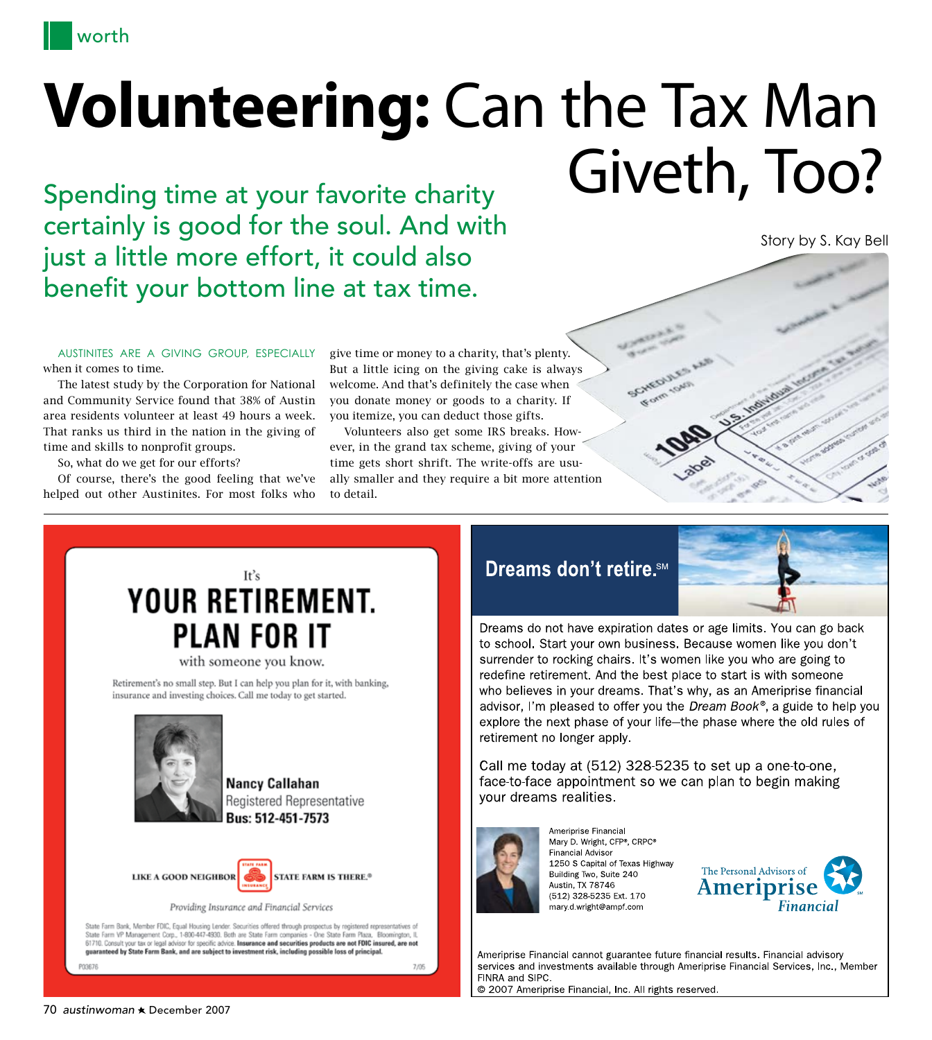

## **Volunteering:** Can the Tax Man Spending time at your favorite charity Giveth, Too?

certainly is good for the soul. And with just a little more effort, it could also benefit your bottom line at tax time.

Austinites are a giving group, especially when it comes to time.

The latest study by the Corporation for National and Community Service found that 38% of Austin area residents volunteer at least 49 hours a week. That ranks us third in the nation in the giving of time and skills to nonprofit groups.

So, what do we get for our efforts?

Of course, there's the good feeling that we've helped out other Austinites. For most folks who

give time or money to a charity, that's plenty. But a little icing on the giving cake is always welcome. And that's definitely the case when you donate money or goods to a charity. If you itemize, you can deduct those gifts.

Volunteers also get some IRS breaks. However, in the grand tax scheme, giving of your time gets short shrift. The write-offs are usually smaller and they require a bit more attention to detail.

## Dreams don't retire.<sup>SM</sup>



Story by S. Kay Bell

Dreams do not have expiration dates or age limits. You can go back to school. Start your own business. Because women like you don't surrender to rocking chairs. It's women like you who are going to redefine retirement. And the best place to start is with someone who believes in your dreams. That's why, as an Ameriprise financial advisor, I'm pleased to offer you the Dream Book®, a guide to help you explore the next phase of your life-the phase where the old rules of retirement no longer apply.

Call me today at (512) 328-5235 to set up a one-to-one, face-to-face appointment so we can plan to begin making vour dreams realities.

SCHEDULES



Ameriprise Financial Mary D. Wright, CFP®, CRPC® **Financial Advisor** 1250 S Capital of Texas Highway Building Two, Suite 240 Austin, TX 78746 (512) 328-5235 Ext. 170 mary d wright@ampf com



Ameriprise Financial cannot guarantee future financial results. Financial advisory services and investments available through Ameriprise Financial Services, Inc., Member FINRA and SIPC. © 2007 Ameriprise Financial, Inc. All rights reserved.

## It's **YOUR RETIREMENT. PLAN FOR IT**

with someone you know.

Retirement's no small step. But I can help you plan for it, with banking, insurance and investing choices. Call me today to get started.



**Nancy Callahan** Registered Representative **Bus: 512-451-7573** 



State Farm Bank, Member FDIC, Equal Housing Lender. Securities offered through prospectus by registered representatives of State Farm VP Management Corp., 1-800-447-4330. Both are State Farm companies - One State Farm Plaza, Bloomington, IL<br>61710. Consult your tax or legal advisor for specific advice. Insurance and securities products are not quaranteed by State Farm Bank, and are subject to investment risk, including possible loss of principal. P03676 7/05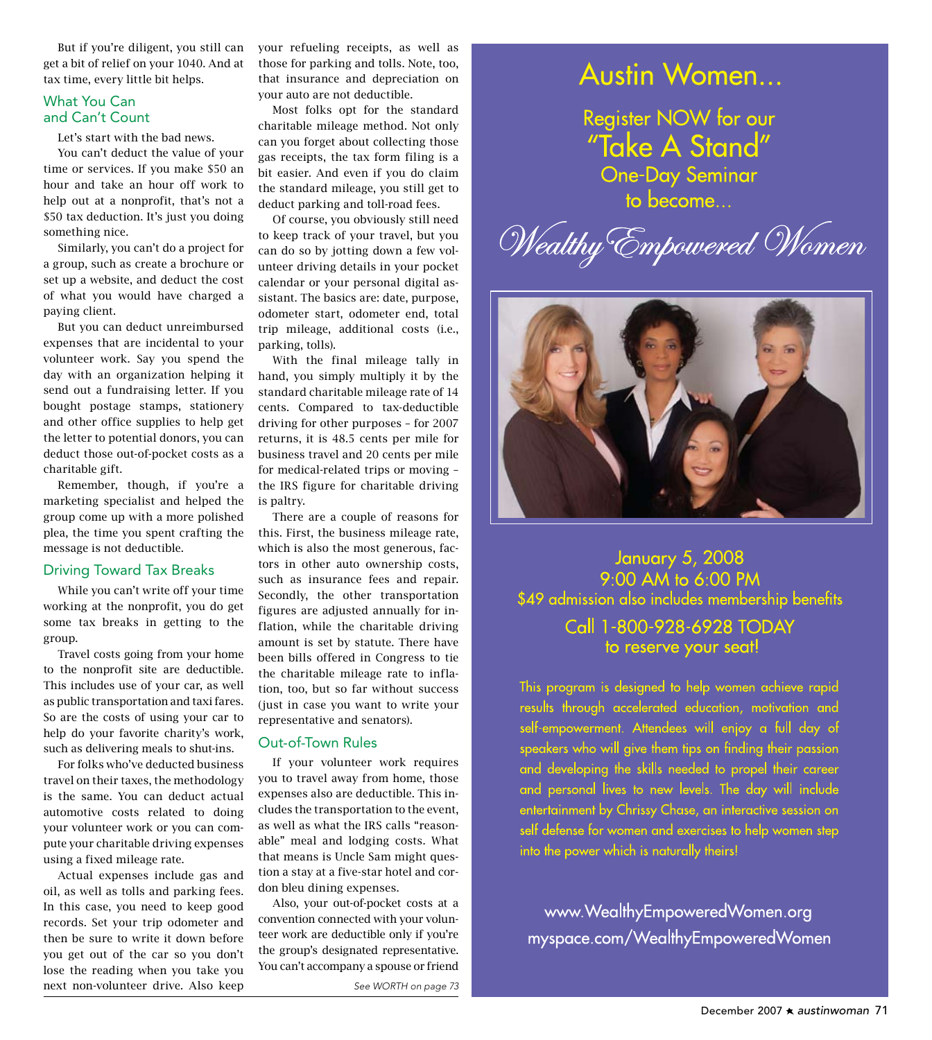But if you're diligent, you still can get a bit of relief on your 1040. And at tax time, every little bit helps.

#### What You Can and Can't Count

Let's start with the bad news.

You can't deduct the value of your time or services. If you make \$50 an hour and take an hour off work to help out at a nonprofit, that's not a \$50 tax deduction. It's just you doing something nice.

Similarly, you can't do a project for a group, such as create a brochure or set up a website, and deduct the cost of what you would have charged a paying client.

But you can deduct unreimbursed expenses that are incidental to your volunteer work. Say you spend the day with an organization helping it send out a fundraising letter. If you bought postage stamps, stationery and other office supplies to help get the letter to potential donors, you can deduct those out-of-pocket costs as a charitable gift.

Remember, though, if you're a marketing specialist and helped the group come up with a more polished plea, the time you spent crafting the message is not deductible.

### Driving Toward Tax Breaks

While you can't write off your time working at the nonprofit, you do get some tax breaks in getting to the group.

Travel costs going from your home to the nonprofit site are deductible. This includes use of your car, as well as public transportation and taxi fares. So are the costs of using your car to help do your favorite charity's work, such as delivering meals to shut-ins.

For folks who've deducted business travel on their taxes, the methodology is the same. You can deduct actual automotive costs related to doing your volunteer work or you can compute your charitable driving expenses using a fixed mileage rate.

Actual expenses include gas and oil, as well as tolls and parking fees. In this case, you need to keep good records. Set your trip odometer and then be sure to write it down before you get out of the car so you don't lose the reading when you take you next non-volunteer drive. Also keep

your refueling receipts, as well as those for parking and tolls. Note, too, that insurance and depreciation on your auto are not deductible.

Most folks opt for the standard charitable mileage method. Not only can you forget about collecting those gas receipts, the tax form filing is a bit easier. And even if you do claim the standard mileage, you still get to deduct parking and toll-road fees.

Of course, you obviously still need to keep track of your travel, but you can do so by jotting down a few volunteer driving details in your pocket calendar or your personal digital assistant. The basics are: date, purpose, odometer start, odometer end, total trip mileage, additional costs (i.e., parking, tolls).

With the final mileage tally in hand, you simply multiply it by the standard charitable mileage rate of 14 cents. Compared to tax-deductible driving for other purposes – for 2007 returns, it is 48.5 cents per mile for business travel and 20 cents per mile for medical-related trips or moving – the IRS figure for charitable driving is paltry.

There are a couple of reasons for this. First, the business mileage rate, which is also the most generous, factors in other auto ownership costs, such as insurance fees and repair. Secondly, the other transportation figures are adjusted annually for inflation, while the charitable driving amount is set by statute. There have been bills offered in Congress to tie the charitable mileage rate to inflation, too, but so far without success (just in case you want to write your representative and senators).

#### Out-of-Town Rules

If your volunteer work requires you to travel away from home, those expenses also are deductible. This includes the transportation to the event, as well as what the IRS calls "reasonable" meal and lodging costs. What that means is Uncle Sam might question a stay at a five-star hotel and cordon bleu dining expenses.

Also, your out-of-pocket costs at a convention connected with your volunteer work are deductible only if you're the group's designated representative. You can't accompany a spouse or friend

*See Worth on page 73*

## **Austin Women...**

Register NOW for our<br>"Take A Stand" **One-Day Seminar** to become...

Wealthy Empowered Women



**January 5, 2008** 9:00 AM to 6:00 PM \$49 admission also includes membership benefits Call 1-800-928-6928 TODAY to reserve your seat!

This program is designed to help women achieve rapid results through accelerated education, motivation and self-empowerment. Attendees will enjoy a full day of speakers who will give them tips on finding their passion and developing the skills needed to propel their career and personal lives to new levels. The day will include entertainment by Chrissy Chase, an interactive session on self defense for women and exercises to help women step into the power which is naturally theirs!

www.WealthyEmpoweredWomen.org myspace.com/WealthyEmpoweredWomen